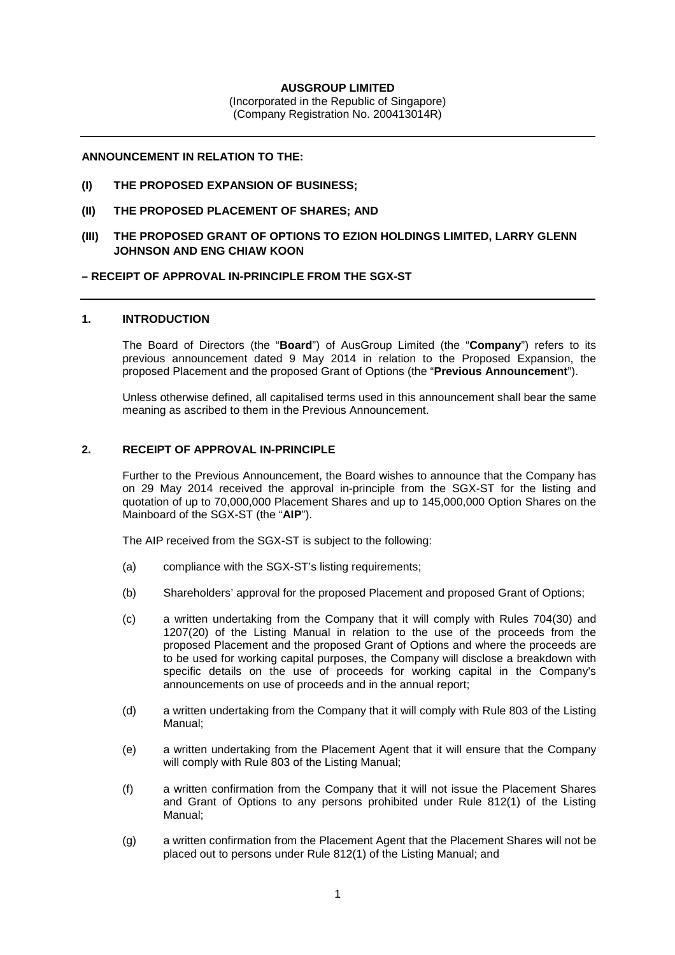## **AUSGROUP LIMITED**

(Incorporated in the Republic of Singapore) (Company Registration No. 200413014R)

### **ANNOUNCEMENT IN RELATION TO THE:**

- **(I) THE PROPOSED EXPANSION OF BUSINESS;**
- **(II) THE PROPOSED PLACEMENT OF SHARES; AND**
- **(III) THE PROPOSED GRANT OF OPTIONS TO EZION HOLDINGS LIMITED, LARRY GLENN JOHNSON AND ENG CHIAW KOON**

## **– RECEIPT OF APPROVAL IN-PRINCIPLE FROM THE SGX-ST**

# **1. INTRODUCTION**

The Board of Directors (the "**Board**") of AusGroup Limited (the "**Company**") refers to its previous announcement dated 9 May 2014 in relation to the Proposed Expansion, the proposed Placement and the proposed Grant of Options (the "**Previous Announcement**").

Unless otherwise defined, all capitalised terms used in this announcement shall bear the same meaning as ascribed to them in the Previous Announcement.

## **2. RECEIPT OF APPROVAL IN-PRINCIPLE**

Further to the Previous Announcement, the Board wishes to announce that the Company has on 29 May 2014 received the approval in-principle from the SGX-ST for the listing and quotation of up to 70,000,000 Placement Shares and up to 145,000,000 Option Shares on the Mainboard of the SGX-ST (the "**AIP**").

The AIP received from the SGX-ST is subject to the following:

- (a) compliance with the SGX-ST's listing requirements;
- (b) Shareholders' approval for the proposed Placement and proposed Grant of Options;
- (c) a written undertaking from the Company that it will comply with Rules 704(30) and 1207(20) of the Listing Manual in relation to the use of the proceeds from the proposed Placement and the proposed Grant of Options and where the proceeds are to be used for working capital purposes, the Company will disclose a breakdown with specific details on the use of proceeds for working capital in the Company's announcements on use of proceeds and in the annual report;
- (d) a written undertaking from the Company that it will comply with Rule 803 of the Listing Manual;
- (e) a written undertaking from the Placement Agent that it will ensure that the Company will comply with Rule 803 of the Listing Manual;
- (f) a written confirmation from the Company that it will not issue the Placement Shares and Grant of Options to any persons prohibited under Rule 812(1) of the Listing Manual;
- (g) a written confirmation from the Placement Agent that the Placement Shares will not be placed out to persons under Rule 812(1) of the Listing Manual; and